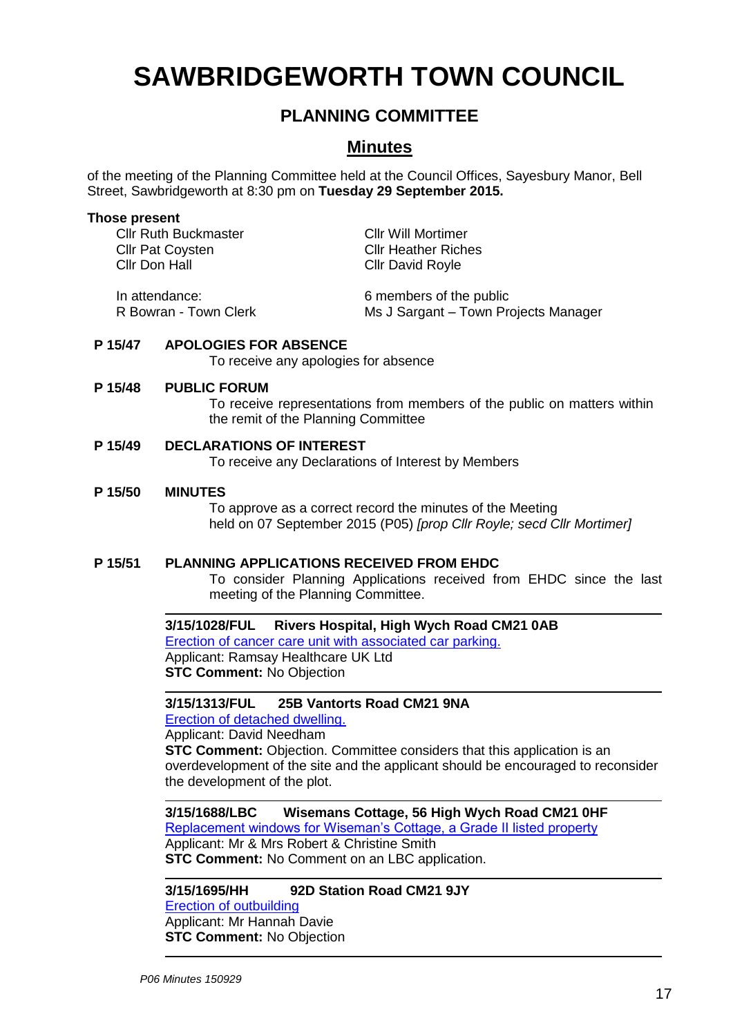# **SAWBRIDGEWORTH TOWN COUNCIL**

# **PLANNING COMMITTEE**

# **Minutes**

of the meeting of the Planning Committee held at the Council Offices, Sayesbury Manor, Bell Street, Sawbridgeworth at 8:30 pm on **Tuesday 29 September 2015.**

#### **Those present**

Cllr Ruth Buckmaster Cllr Will Mortimer Cllr Pat Coysten Cllr Heather Riches<br>Cllr Don Hall Cllr David Royle

Cllr David Royle

In attendance: 6 members of the public R Bowran - Town Clerk Ms J Sargant – Town Projects Manager

# **P 15/47 APOLOGIES FOR ABSENCE**

To receive any apologies for absence

#### **P 15/48 PUBLIC FORUM**

To receive representations from members of the public on matters within the remit of the Planning Committee

# **P 15/49 DECLARATIONS OF INTEREST**

To receive any Declarations of Interest by Members

#### **P 15/50 MINUTES**

To approve as a correct record the minutes of the Meeting held on 07 September 2015 (P05) *[prop Cllr Royle; secd Cllr Mortimer]*

# **P 15/51 PLANNING APPLICATIONS RECEIVED FROM EHDC**

To consider Planning Applications received from EHDC since the last meeting of the Planning Committee.

**3/15/1028/FUL Rivers Hospital, High Wych Road CM21 0AB** [Erection of cancer care unit with associated car parking.](https://publicaccess.eastherts.gov.uk/online-applications/applicationDetails.do?activeTab=summary&keyVal=NOJJE4GL00X00) **Applicant: Ramsay Healthcare UK Ltd STC Comment: No Objection** 

# **3/15/1313/FUL 25B Vantorts Road CM21 9NA**

[Erection of detached dwelling.](https://publicaccess.eastherts.gov.uk/online-applications/applicationDetails.do?activeTab=summary&keyVal=NQC9PDGL00X00)

Applicant: David Needham **STC Comment:** Objection. Committee considers that this application is an overdevelopment of the site and the applicant should be encouraged to reconsider the development of the plot.

**3/15/1688/LBC Wisemans Cottage, 56 High Wych Road CM21 0HF** [Replacement windows for Wiseman's Cottage, a Grade II listed property](https://publicaccess.eastherts.gov.uk/online-applications/applicationDetails.do?activeTab=summary&keyVal=NQC9PDGL00X00) Applicant: Mr & Mrs Robert & Christine Smith **STC Comment:** No Comment on an LBC application.

# **3/15/1695/HH 92D Station Road CM21 9JY**

[Erection of outbuilding](https://publicaccess.eastherts.gov.uk/online-applications/applicationDetails.do?activeTab=summary&keyVal=NQC9PDGL00X00) Applicant: Mr Hannah Davie **STC Comment:** No Objection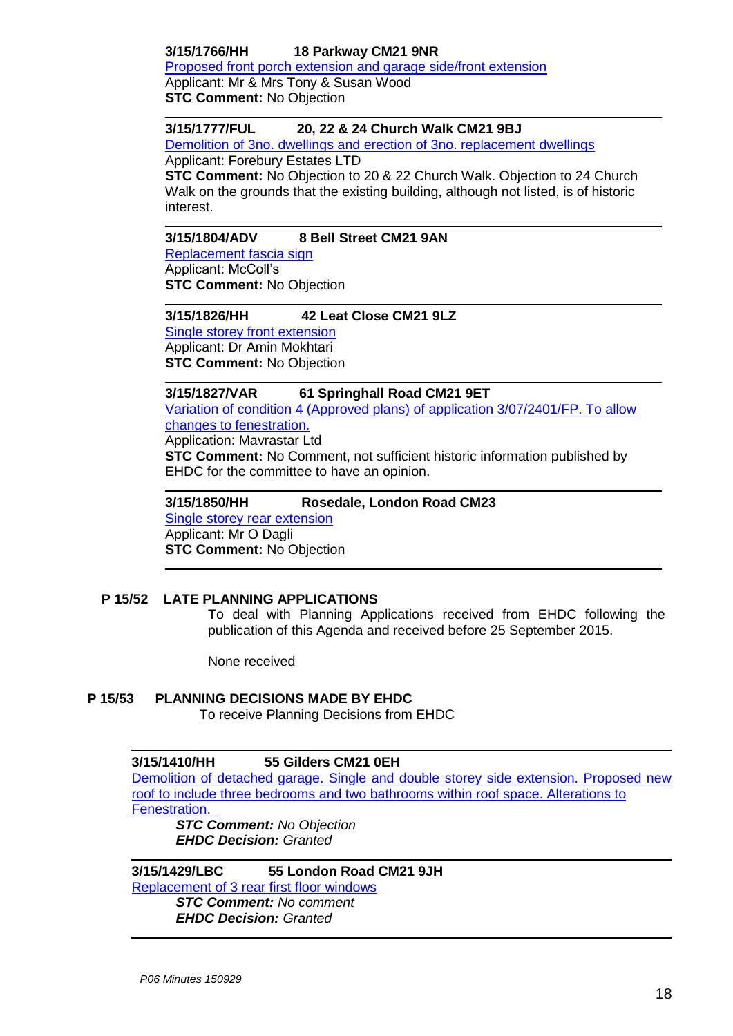# **3/15/1766/HH 18 Parkway CM21 9NR**

[Proposed front porch extension and garage side/front extension](https://publicaccess.eastherts.gov.uk/online-applications/applicationDetails.do?activeTab=summary&keyVal=NTN8EKGLGWK00) Applicant: Mr & Mrs Tony & Susan Wood **STC Comment:** No Objection

# **3/15/1777/FUL 20, 22 & 24 Church Walk CM21 9BJ**

[Demolition of 3no. dwellings and erection of 3no. replacement dwellings](https://publicaccess.eastherts.gov.uk/online-applications/applicationDetails.do?activeTab=summary&keyVal=NTN8EKGLGWK00) Applicant: Forebury Estates LTD

**STC Comment:** No Objection to 20 & 22 Church Walk. Objection to 24 Church Walk on the grounds that the existing building, although not listed, is of historic interest.

# **3/15/1804/ADV 8 Bell Street CM21 9AN**

[Replacement fascia sign](https://publicaccess.eastherts.gov.uk/online-applications/applicationDetails.do?activeTab=summary&keyVal=NU1FHPGLGY100) Applicant: McColl's **STC Comment:** No Objection

#### **3/15/1826/HH 42 Leat Close CM21 9LZ**  [Single storey front extension](https://publicaccess.eastherts.gov.uk/online-applications/applicationDetails.do?activeTab=summary&keyVal=NU6ZGIGLGYW00)

Applicant: Dr Amin Mokhtari **STC Comment:** No Objection

**3/15/1827/VAR 61 Springhall Road CM21 9ET**

[Variation of condition 4 \(Approved plans\) of application 3/07/2401/FP. To allow](https://publicaccess.eastherts.gov.uk/online-applications/applicationDetails.do?activeTab=summary&keyVal=NU6ZGNGLGYX00)  [changes to fenestration.](https://publicaccess.eastherts.gov.uk/online-applications/applicationDetails.do?activeTab=summary&keyVal=NU6ZGNGLGYX00) Application: Mavrastar Ltd **STC Comment:** No Comment, not sufficient historic information published by

EHDC for the committee to have an opinion.

**3/15/1850/HH Rosedale, London Road CM23** [Single storey rear extension](https://publicaccess.eastherts.gov.uk/online-applications/applicationDetails.do?activeTab=summary&keyVal=NUD69GGL00700) Applicant: Mr O Dagli **STC Comment:** No Objection

# **P 15/52 LATE PLANNING APPLICATIONS**

To deal with Planning Applications received from EHDC following the publication of this Agenda and received before 25 September 2015.

None received

# **P 15/53 PLANNING DECISIONS MADE BY EHDC**

To receive Planning Decisions from EHDC

# **3/15/1410/HH 55 Gilders CM21 0EH**

[Demolition of detached garage. Single and double storey side extension. Proposed new](https://publicaccess.eastherts.gov.uk/online-applications/applicationDetails.do?activeTab=summary&keyVal=NQX38AGLGK400)  [roof to include three bedrooms and two bathrooms within roof space. Alterations to](https://publicaccess.eastherts.gov.uk/online-applications/applicationDetails.do?activeTab=summary&keyVal=NQX38AGLGK400)  [Fenestration.](https://publicaccess.eastherts.gov.uk/online-applications/applicationDetails.do?activeTab=summary&keyVal=NQX38AGLGK400) *STC Comment: No Objection*

*EHDC Decision: Granted*

# **3/15/1429/LBC 55 London Road CM21 9JH**

[Replacement of 3 rear first floor windows](https://publicaccess.eastherts.gov.uk/online-applications/applicationDetails.do?activeTab=summary&keyVal=NR3VIVGLGKX00) *STC Comment: No comment EHDC Decision: Granted*